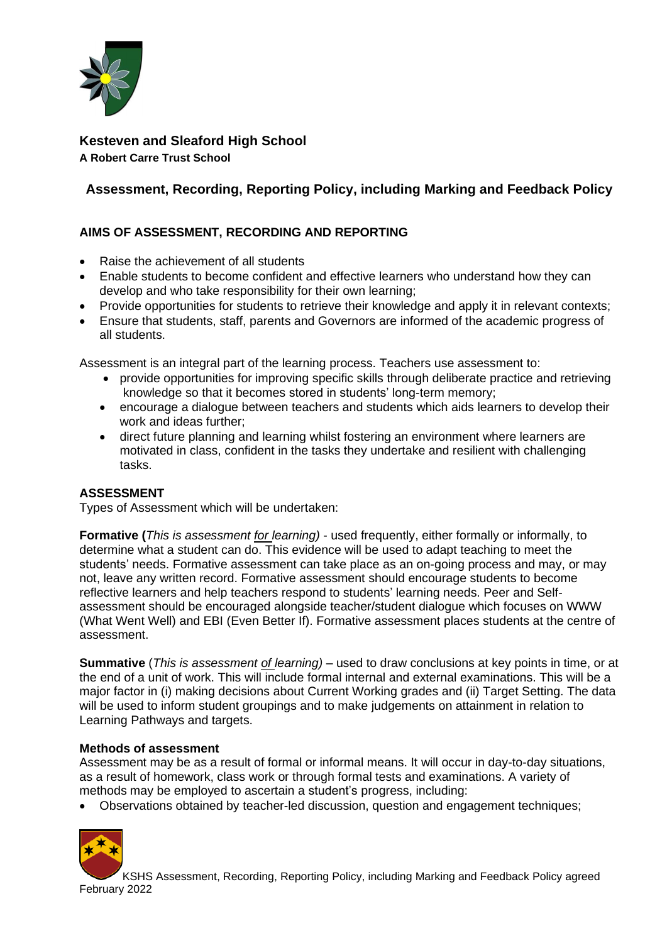

**Kesteven and Sleaford High School A Robert Carre Trust School**

# **Assessment, Recording, Reporting Policy, including Marking and Feedback Policy**

# **AIMS OF ASSESSMENT, RECORDING AND REPORTING**

- Raise the achievement of all students
- Enable students to become confident and effective learners who understand how they can develop and who take responsibility for their own learning;
- Provide opportunities for students to retrieve their knowledge and apply it in relevant contexts;
- Ensure that students, staff, parents and Governors are informed of the academic progress of all students.

Assessment is an integral part of the learning process. Teachers use assessment to:

- provide opportunities for improving specific skills through deliberate practice and retrieving knowledge so that it becomes stored in students' long-term memory;
- encourage a dialogue between teachers and students which aids learners to develop their work and ideas further;
- direct future planning and learning whilst fostering an environment where learners are motivated in class, confident in the tasks they undertake and resilient with challenging tasks.

#### **ASSESSMENT**

Types of Assessment which will be undertaken:

**Formative (***This is assessment for learning)* - used frequently, either formally or informally, to determine what a student can do. This evidence will be used to adapt teaching to meet the students' needs. Formative assessment can take place as an on-going process and may, or may not, leave any written record. Formative assessment should encourage students to become reflective learners and help teachers respond to students' learning needs. Peer and Selfassessment should be encouraged alongside teacher/student dialogue which focuses on WWW (What Went Well) and EBI (Even Better If). Formative assessment places students at the centre of assessment.

**Summative** (*This is assessment of learning)* – used to draw conclusions at key points in time, or at the end of a unit of work. This will include formal internal and external examinations. This will be a major factor in (i) making decisions about Current Working grades and (ii) Target Setting. The data will be used to inform student groupings and to make judgements on attainment in relation to Learning Pathways and targets.

#### **Methods of assessment**

Assessment may be as a result of formal or informal means. It will occur in day-to-day situations, as a result of homework, class work or through formal tests and examinations. A variety of methods may be employed to ascertain a student's progress, including:

• Observations obtained by teacher-led discussion, question and engagement techniques;



KSHS Assessment, Recording, Reporting Policy, including Marking and Feedback Policy agreed February 2022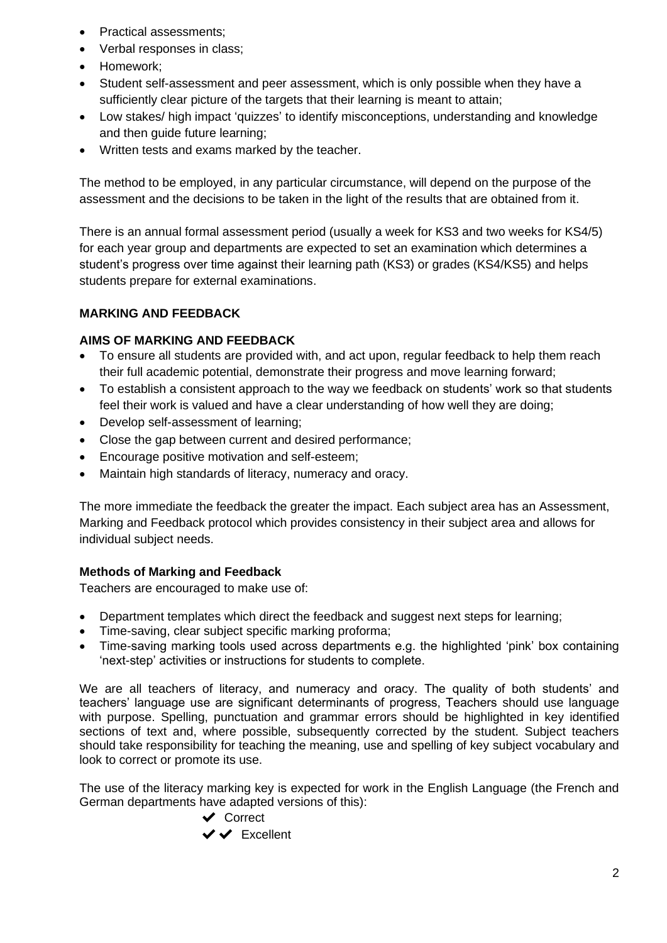- Practical assessments;
- Verbal responses in class;
- Homework;
- Student self-assessment and peer assessment, which is only possible when they have a sufficiently clear picture of the targets that their learning is meant to attain;
- Low stakes/ high impact 'quizzes' to identify misconceptions, understanding and knowledge and then guide future learning;
- Written tests and exams marked by the teacher.

The method to be employed, in any particular circumstance, will depend on the purpose of the assessment and the decisions to be taken in the light of the results that are obtained from it.

There is an annual formal assessment period (usually a week for KS3 and two weeks for KS4/5) for each year group and departments are expected to set an examination which determines a student's progress over time against their learning path (KS3) or grades (KS4/KS5) and helps students prepare for external examinations.

# **MARKING AND FEEDBACK**

# **AIMS OF MARKING AND FEEDBACK**

- To ensure all students are provided with, and act upon, regular feedback to help them reach their full academic potential, demonstrate their progress and move learning forward;
- To establish a consistent approach to the way we feedback on students' work so that students feel their work is valued and have a clear understanding of how well they are doing;
- Develop self-assessment of learning;
- Close the gap between current and desired performance;
- Encourage positive motivation and self-esteem;
- Maintain high standards of literacy, numeracy and oracy.

The more immediate the feedback the greater the impact. Each subject area has an Assessment, Marking and Feedback protocol which provides consistency in their subject area and allows for individual subject needs.

# **Methods of Marking and Feedback**

Teachers are encouraged to make use of:

- Department templates which direct the feedback and suggest next steps for learning;
- Time-saving, clear subject specific marking proforma;
- Time-saving marking tools used across departments e.g. the highlighted 'pink' box containing 'next-step' activities or instructions for students to complete.

We are all teachers of literacy, and numeracy and oracy. The quality of both students' and teachers' language use are significant determinants of progress, Teachers should use language with purpose. Spelling, punctuation and grammar errors should be highlighted in key identified sections of text and, where possible, subsequently corrected by the student. Subject teachers should take responsibility for teaching the meaning, use and spelling of key subject vocabulary and look to correct or promote its use.

The use of the literacy marking key is expected for work in the English Language (the French and German departments have adapted versions of this):

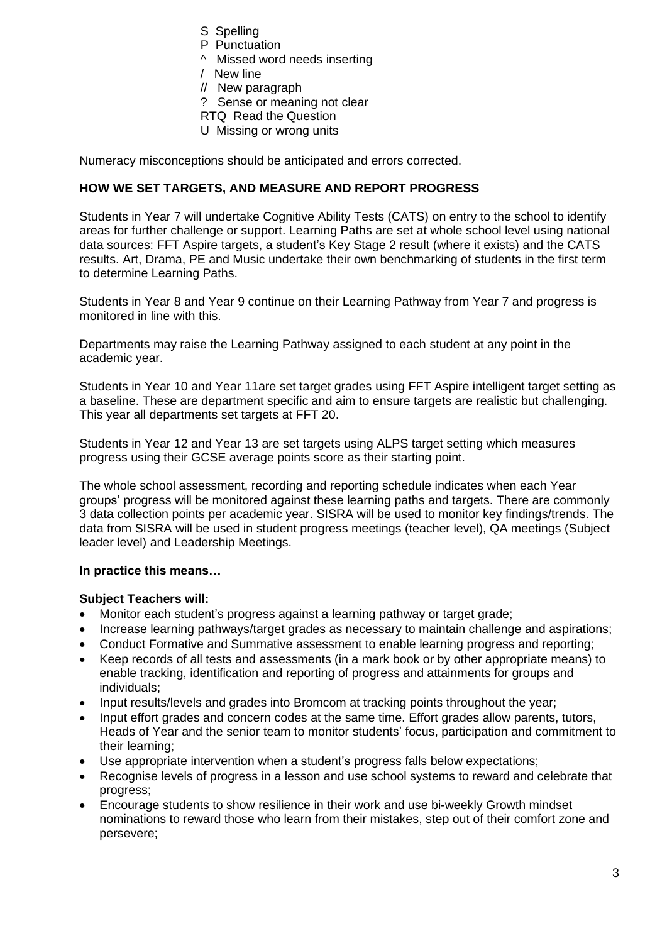- S Spelling
- P Punctuation
- ^ Missed word needs inserting
- / New line
- // New paragraph
- ? Sense or meaning not clear
- RTQ Read the Question
- U Missing or wrong units

Numeracy misconceptions should be anticipated and errors corrected.

### **HOW WE SET TARGETS, AND MEASURE AND REPORT PROGRESS**

Students in Year 7 will undertake Cognitive Ability Tests (CATS) on entry to the school to identify areas for further challenge or support. Learning Paths are set at whole school level using national data sources: FFT Aspire targets, a student's Key Stage 2 result (where it exists) and the CATS results. Art, Drama, PE and Music undertake their own benchmarking of students in the first term to determine Learning Paths.

Students in Year 8 and Year 9 continue on their Learning Pathway from Year 7 and progress is monitored in line with this.

Departments may raise the Learning Pathway assigned to each student at any point in the academic year.

Students in Year 10 and Year 11are set target grades using FFT Aspire intelligent target setting as a baseline. These are department specific and aim to ensure targets are realistic but challenging. This year all departments set targets at FFT 20.

Students in Year 12 and Year 13 are set targets using ALPS target setting which measures progress using their GCSE average points score as their starting point.

The whole school assessment, recording and reporting schedule indicates when each Year groups' progress will be monitored against these learning paths and targets. There are commonly 3 data collection points per academic year. SISRA will be used to monitor key findings/trends. The data from SISRA will be used in student progress meetings (teacher level), QA meetings (Subject leader level) and Leadership Meetings.

#### **In practice this means…**

#### **Subject Teachers will:**

- Monitor each student's progress against a learning pathway or target grade;
- Increase learning pathways/target grades as necessary to maintain challenge and aspirations;
- Conduct Formative and Summative assessment to enable learning progress and reporting;
- Keep records of all tests and assessments (in a mark book or by other appropriate means) to enable tracking, identification and reporting of progress and attainments for groups and individuals;
- Input results/levels and grades into Bromcom at tracking points throughout the year;
- Input effort grades and concern codes at the same time. Effort grades allow parents, tutors, Heads of Year and the senior team to monitor students' focus, participation and commitment to their learning;
- Use appropriate intervention when a student's progress falls below expectations;
- Recognise levels of progress in a lesson and use school systems to reward and celebrate that progress;
- Encourage students to show resilience in their work and use bi-weekly Growth mindset nominations to reward those who learn from their mistakes, step out of their comfort zone and persevere;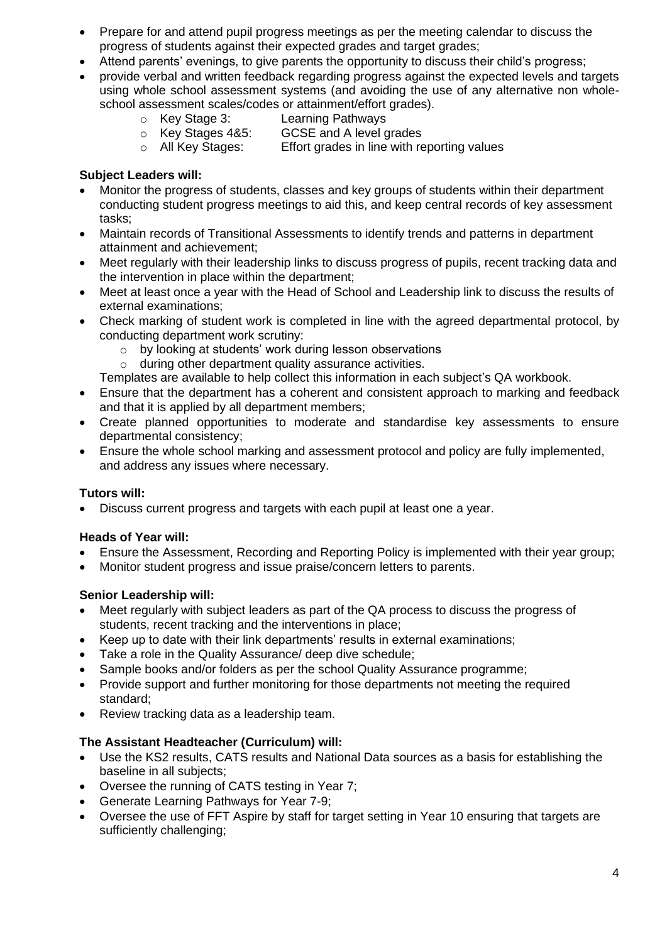- Prepare for and attend pupil progress meetings as per the meeting calendar to discuss the progress of students against their expected grades and target grades;
- Attend parents' evenings, to give parents the opportunity to discuss their child's progress;
- provide verbal and written feedback regarding progress against the expected levels and targets using whole school assessment systems (and avoiding the use of any alternative non wholeschool assessment scales/codes or attainment/effort grades).
	-
	- o Key Stage 3: Learning Pathways
	- o Key Stages 4&5: GCSE and A level grades
	- o All Key Stages: Effort grades in line with reporting values

### **Subject Leaders will:**

- Monitor the progress of students, classes and key groups of students within their department conducting student progress meetings to aid this, and keep central records of key assessment tasks;
- Maintain records of Transitional Assessments to identify trends and patterns in department attainment and achievement;
- Meet regularly with their leadership links to discuss progress of pupils, recent tracking data and the intervention in place within the department;
- Meet at least once a year with the Head of School and Leadership link to discuss the results of external examinations;
- Check marking of student work is completed in line with the agreed departmental protocol, by conducting department work scrutiny:
	- o by looking at students' work during lesson observations
	- o during other department quality assurance activities.

Templates are available to help collect this information in each subject's QA workbook.

- Ensure that the department has a coherent and consistent approach to marking and feedback and that it is applied by all department members;
- Create planned opportunities to moderate and standardise key assessments to ensure departmental consistency;
- Ensure the whole school marking and assessment protocol and policy are fully implemented, and address any issues where necessary.

#### **Tutors will:**

• Discuss current progress and targets with each pupil at least one a year.

#### **Heads of Year will:**

- Ensure the Assessment, Recording and Reporting Policy is implemented with their year group;
- Monitor student progress and issue praise/concern letters to parents.

#### **Senior Leadership will:**

- Meet regularly with subject leaders as part of the QA process to discuss the progress of students, recent tracking and the interventions in place;
- Keep up to date with their link departments' results in external examinations;
- Take a role in the Quality Assurance/ deep dive schedule;
- Sample books and/or folders as per the school Quality Assurance programme;
- Provide support and further monitoring for those departments not meeting the required standard;
- Review tracking data as a leadership team.

# **The Assistant Headteacher (Curriculum) will:**

- Use the KS2 results, CATS results and National Data sources as a basis for establishing the baseline in all subjects;
- Oversee the running of CATS testing in Year 7;
- Generate Learning Pathways for Year 7-9;
- Oversee the use of FFT Aspire by staff for target setting in Year 10 ensuring that targets are sufficiently challenging;